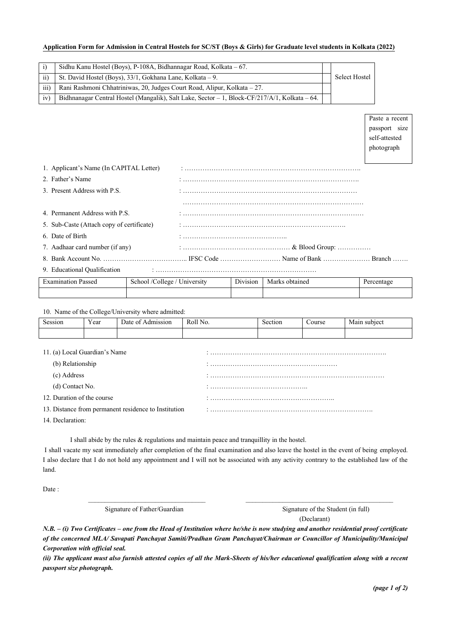## **Application Form for Admission in Central Hostels for SC/ST (Boys & Girls) for Graduate level students in Kolkata (2022)**

|                 | Sidhu Kanu Hostel (Boys), P-108A, Bidhannagar Road, Kolkata – 67.                                 |               |
|-----------------|---------------------------------------------------------------------------------------------------|---------------|
| $\overline{ii}$ | St. David Hostel (Boys), 33/1, Gokhana Lane, Kolkata – 9.                                         | Select Hostel |
| iii)            | Rani Rashmoni Chhatriniwas, 20, Judges Court Road, Alipur, Kolkata – 27.                          |               |
| 1V              | Bidhnanagar Central Hostel (Mangalik), Salt Lake, Sector $-1$ , Block-CF/217/A/1, Kolkata $-64$ . |               |

Paste a recent passport size self-attested photograph

| 1. Applicant's Name (In CAPITAL Letter)   |  |
|-------------------------------------------|--|
| 2. Father's Name                          |  |
| 3. Present Address with P.S.              |  |
|                                           |  |
| 4. Permanent Address with P.S.            |  |
| 5. Sub-Caste (Attach copy of certificate) |  |
| 6. Date of Birth                          |  |
| 7. Aadhaar card number (if any)           |  |
|                                           |  |
| 9. Educational Qualification              |  |

| <b>Examination Passed</b> | /College /<br>School /<br>University | $\sim$ $\cdot$<br>D <sub>1</sub> v <sub>1</sub> s <sub>10</sub> n | Marks obtained | Percentage |
|---------------------------|--------------------------------------|-------------------------------------------------------------------|----------------|------------|
|                           |                                      |                                                                   |                |            |

## 10. Name of the College/University where admitted:

| Session                                              | Year | Date of Admission | Roll No. | Section | Course | Main subject |  |  |
|------------------------------------------------------|------|-------------------|----------|---------|--------|--------------|--|--|
|                                                      |      |                   |          |         |        |              |  |  |
|                                                      |      |                   |          |         |        |              |  |  |
| 11. (a) Local Guardian's Name                        |      |                   |          |         |        |              |  |  |
| (b) Relationship                                     |      |                   |          |         |        |              |  |  |
| (c) Address                                          |      |                   |          |         |        |              |  |  |
| (d) Contact No.                                      |      |                   |          |         |        |              |  |  |
| 12. Duration of the course                           |      |                   |          |         |        |              |  |  |
| 13. Distance from permanent residence to Institution |      |                   |          |         |        |              |  |  |
| $14.72 \pm 1$                                        |      |                   |          |         |        |              |  |  |

14. Declaration:

I shall abide by the rules & regulations and maintain peace and tranquillity in the hostel.

I shall vacate my seat immediately after completion of the final examination and also leave the hostel in the event of being employed. I also declare that I do not hold any appointment and I will not be associated with any activity contrary to the established law of the land.

 $\overline{\phantom{a}}$  ,  $\overline{\phantom{a}}$  ,  $\overline{\phantom{a}}$  ,  $\overline{\phantom{a}}$  ,  $\overline{\phantom{a}}$  ,  $\overline{\phantom{a}}$  ,  $\overline{\phantom{a}}$  ,  $\overline{\phantom{a}}$  ,  $\overline{\phantom{a}}$  ,  $\overline{\phantom{a}}$  ,  $\overline{\phantom{a}}$  ,  $\overline{\phantom{a}}$  ,  $\overline{\phantom{a}}$  ,  $\overline{\phantom{a}}$  ,  $\overline{\phantom{a}}$  ,  $\overline{\phantom{a}}$ 

Date:

Signature of Father/Guardian Signature of the Student (in full)

(Declarant)

*N.B. – (i) Two Certificates – one from the Head of Institution where he/she is now studying and another residential proof certificate of the concerned MLA/ Savapati Panchayat Samiti/Pradhan Gram Panchayat/Chairman or Councillor of Municipality/Municipal Corporation with official seal.* 

*(ii) The applicant must also furnish attested copies of all the Mark-Sheets of his/her educational qualification along with a recent passport size photograph.*